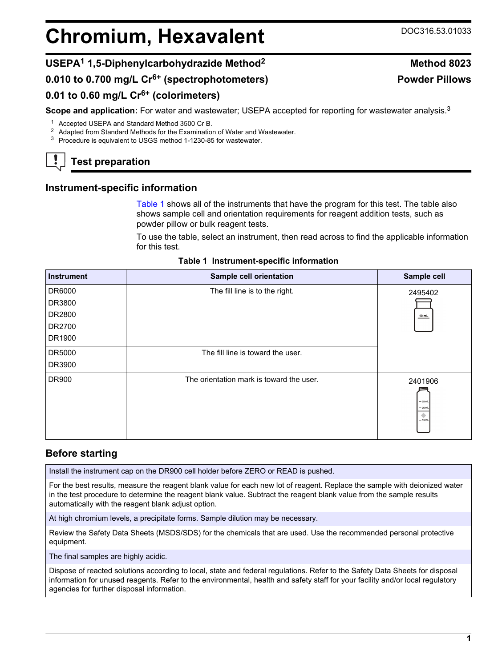# <span id="page-0-0"></span>**Chromium, Hexavalent** DOC316.53.01033

# **USEPA<sup>1</sup> 1,5-Diphenylcarbohydrazide Method<sup>2</sup> Method 8023**

**0.010 to 0.700 mg/L Cr6+ (spectrophotometers)**

# **0.01 to 0.60 mg/L Cr6+ (colorimeters)**

**Scope and application:** For water and wastewater; USEPA accepted for reporting for wastewater analysis.<sup>3</sup>

<sup>1</sup> Accepted USEPA and Standard Method 3500 Cr B.

<sup>2</sup> Adapted from Standard Methods for the Examination of Water and Wastewater.

<sup>3</sup> Procedure is equivalent to USGS method 1-1230-85 for wastewater.

# **Test preparation**

# **Instrument-specific information**

Table 1 shows all of the instruments that have the program for this test. The table also shows sample cell and orientation requirements for reagent addition tests, such as powder pillow or bulk reagent tests.

To use the table, select an instrument, then read across to find the applicable information for this test.

| <b>Instrument</b> | Sample cell orientation                  | Sample cell                                                      |
|-------------------|------------------------------------------|------------------------------------------------------------------|
| DR6000            | The fill line is to the right.           | 2495402                                                          |
| DR3800            |                                          |                                                                  |
| DR2800            |                                          | 10 mL                                                            |
| DR2700            |                                          |                                                                  |
| DR1900            |                                          |                                                                  |
| DR5000            | The fill line is toward the user.        |                                                                  |
| DR3900            |                                          |                                                                  |
| DR900             | The orientation mark is toward the user. | 2401906<br>$-25$ mL<br>$= 20$ mL<br>$\blacklozenge$<br>$= 10$ mL |

## **Table 1 Instrument-specific information**

# **Before starting**

Install the instrument cap on the DR900 cell holder before ZERO or READ is pushed.

For the best results, measure the reagent blank value for each new lot of reagent. Replace the sample with deionized water in the test procedure to determine the reagent blank value. Subtract the reagent blank value from the sample results automatically with the reagent blank adjust option.

At high chromium levels, a precipitate forms. Sample dilution may be necessary.

Review the Safety Data Sheets (MSDS/SDS) for the chemicals that are used. Use the recommended personal protective equipment.

The final samples are highly acidic.

Dispose of reacted solutions according to local, state and federal regulations. Refer to the Safety Data Sheets for disposal information for unused reagents. Refer to the environmental, health and safety staff for your facility and/or local regulatory agencies for further disposal information.

**Powder Pillows**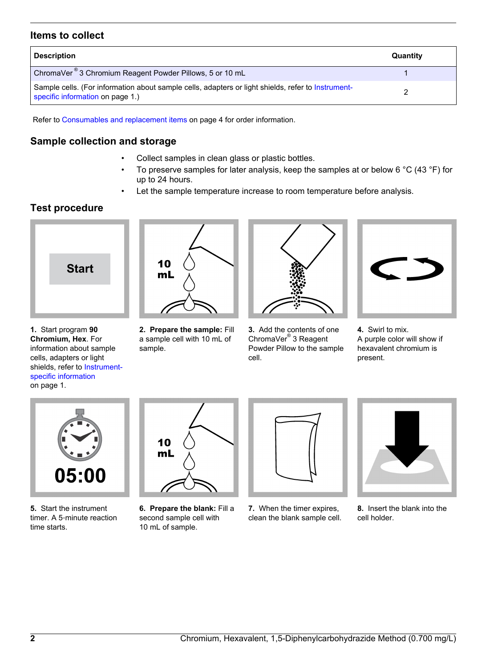### **Items to collect**

| <b>Description</b>                                                                                                                     | Quantity |
|----------------------------------------------------------------------------------------------------------------------------------------|----------|
| ChromaVer <sup>®</sup> 3 Chromium Reagent Powder Pillows, 5 or 10 mL                                                                   |          |
| Sample cells. (For information about sample cells, adapters or light shields, refer to Instrument-<br>specific information on page 1.) |          |

Refer to [Consumables and replacement items](#page-3-0) on page 4 for order information.

### **Sample collection and storage**

- Collect samples in clean glass or plastic bottles.
- To preserve samples for later analysis, keep the samples at or below 6 °C (43 °F) for up to 24 hours.
- Let the sample temperature increase to room temperature before analysis.

# **Test procedure**



**1.** Start program **90 Chromium, Hex**. For information about sample cells, adapters or light shields, refer to [Instrument](#page-0-0)[specific information](#page-0-0) on page 1.



**2. Prepare the sample:** Fill a sample cell with 10 mL of sample.



**3.** Add the contents of one ChromaVer® 3 Reagent Powder Pillow to the sample cell.



**4.** Swirl to mix. A purple color will show if hexavalent chromium is present.



**5.** Start the instrument timer. A 5‑minute reaction time starts.



**6. Prepare the blank:** Fill a second sample cell with 10 mL of sample.



**7.** When the timer expires, clean the blank sample cell.



**8.** Insert the blank into the cell holder.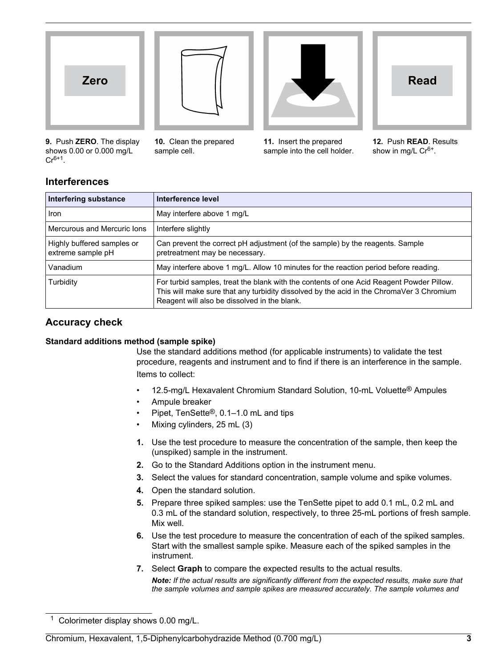





**9.** Push **ZERO**. The display shows 0.00 or 0.000 mg/L  $Cr^{6+1}$ .

**10.** Clean the prepared sample cell.

**11.** Insert the prepared sample into the cell holder.



**12.** Push **READ**. Results show in mg/L  $Cr^{6+}$ .

# **Interferences**

| Interfering substance                           | Interference level                                                                                                                                                                                                                   |
|-------------------------------------------------|--------------------------------------------------------------------------------------------------------------------------------------------------------------------------------------------------------------------------------------|
| Iron                                            | May interfere above 1 mg/L                                                                                                                                                                                                           |
| Mercurous and Mercuric lons                     | Interfere slightly                                                                                                                                                                                                                   |
| Highly buffered samples or<br>extreme sample pH | Can prevent the correct pH adjustment (of the sample) by the reagents. Sample<br>pretreatment may be necessary.                                                                                                                      |
| Vanadium                                        | May interfere above 1 mg/L. Allow 10 minutes for the reaction period before reading.                                                                                                                                                 |
| Turbidity                                       | For turbid samples, treat the blank with the contents of one Acid Reagent Powder Pillow.<br>This will make sure that any turbidity dissolved by the acid in the ChromaVer 3 Chromium<br>Reagent will also be dissolved in the blank. |

# **Accuracy check**

#### **Standard additions method (sample spike)**

Use the standard additions method (for applicable instruments) to validate the test procedure, reagents and instrument and to find if there is an interference in the sample. Items to collect:

- 12.5-mg/L Hexavalent Chromium Standard Solution, 10-mL Voluette® Ampules
- Ampule breaker
- Pipet, TenSette®, 0.1–1.0 mL and tips
- Mixing cylinders, 25 mL (3)
- **1.** Use the test procedure to measure the concentration of the sample, then keep the (unspiked) sample in the instrument.
- **2.** Go to the Standard Additions option in the instrument menu.
- **3.** Select the values for standard concentration, sample volume and spike volumes.
- **4.** Open the standard solution.
- **5.** Prepare three spiked samples: use the TenSette pipet to add 0.1 mL, 0.2 mL and 0.3 mL of the standard solution, respectively, to three 25-mL portions of fresh sample. Mix well.
- **6.** Use the test procedure to measure the concentration of each of the spiked samples. Start with the smallest sample spike. Measure each of the spiked samples in the instrument.
- **7.** Select **Graph** to compare the expected results to the actual results. *Note: If the actual results are significantly different from the expected results, make sure that the sample volumes and sample spikes are measured accurately. The sample volumes and*

Chromium, Hexavalent, 1,5-Diphenylcarbohydrazide Method (0.700 mg/L) **3**

<sup>1</sup> Colorimeter display shows 0.00 mg/L.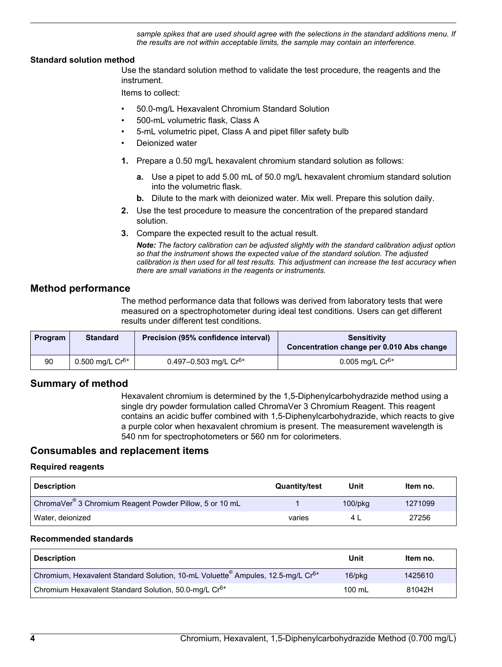*sample spikes that are used should agree with the selections in the standard additions menu. If the results are not within acceptable limits, the sample may contain an interference.*

#### <span id="page-3-0"></span>**Standard solution method**

Use the standard solution method to validate the test procedure, the reagents and the instrument.

Items to collect:

- 50.0-mg/L Hexavalent Chromium Standard Solution
- 500-mL volumetric flask, Class A
- 5-mL volumetric pipet, Class A and pipet filler safety bulb
- Deionized water
- **1.** Prepare a 0.50 mg/L hexavalent chromium standard solution as follows:
	- **a.** Use a pipet to add 5.00 mL of 50.0 mg/L hexavalent chromium standard solution into the volumetric flask.
	- **b.** Dilute to the mark with deionized water. Mix well. Prepare this solution daily.
- **2.** Use the test procedure to measure the concentration of the prepared standard solution.
- **3.** Compare the expected result to the actual result.

*Note: The factory calibration can be adjusted slightly with the standard calibration adjust option so that the instrument shows the expected value of the standard solution. The adjusted calibration is then used for all test results. This adjustment can increase the test accuracy when there are small variations in the reagents or instruments.*

#### **Method performance**

The method performance data that follows was derived from laboratory tests that were measured on a spectrophotometer during ideal test conditions. Users can get different results under different test conditions.

| <b>Program</b> | <b>Standard</b>      | Precision (95% confidence interval) | <b>Sensitivity</b><br>Concentration change per 0.010 Abs change |
|----------------|----------------------|-------------------------------------|-----------------------------------------------------------------|
| 90             | 0.500 mg/L $Cr^{6+}$ | 0.497-0.503 mg/L $Cr^{6+}$          | 0.005 mg/L $Cr^{6+}$                                            |

#### **Summary of method**

Hexavalent chromium is determined by the 1,5-Diphenylcarbohydrazide method using a single dry powder formulation called ChromaVer 3 Chromium Reagent. This reagent contains an acidic buffer combined with 1,5-Diphenylcarbohydrazide, which reacts to give a purple color when hexavalent chromium is present. The measurement wavelength is 540 nm for spectrophotometers or 560 nm for colorimeters.

#### **Consumables and replacement items**

#### **Required reagents**

| <b>Description</b>                                                  | <b>Quantity/test</b> | Unit       | Item no. |
|---------------------------------------------------------------------|----------------------|------------|----------|
| ChromaVer <sup>®</sup> 3 Chromium Reagent Powder Pillow, 5 or 10 mL |                      | $100$ /pkg | 1271099  |
| Water, deionized                                                    | varies               |            | 27256    |

#### **Recommended standards**

| <b>Description</b>                                                                                      | Unit             | Item no. |
|---------------------------------------------------------------------------------------------------------|------------------|----------|
| Chromium, Hexavalent Standard Solution, 10-mL Voluette <sup>®</sup> Ampules, 12.5-mg/L Cr <sup>6+</sup> | $16$ /p $kg$     | 1425610  |
| Chromium Hexavalent Standard Solution, 50.0-mg/L Cr <sup>6+</sup>                                       | $100 \text{ mL}$ | 81042H   |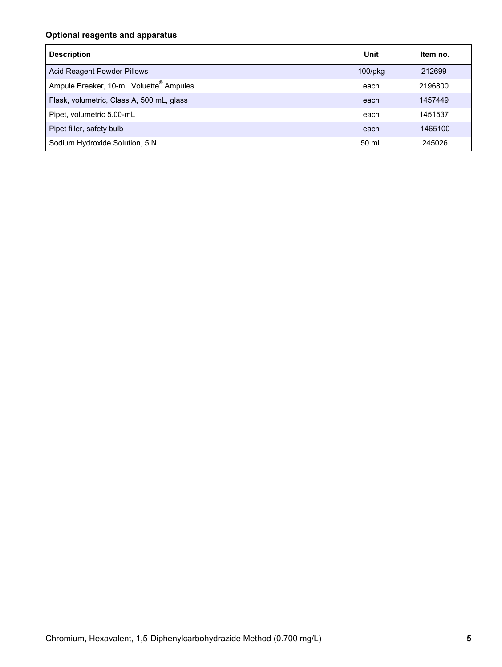## **Optional reagents and apparatus**

| <b>Description</b>                                  | Unit       | Item no. |
|-----------------------------------------------------|------------|----------|
| Acid Reagent Powder Pillows                         | $100$ /pkg | 212699   |
| Ampule Breaker, 10-mL Voluette <sup>®</sup> Ampules | each       | 2196800  |
| Flask, volumetric, Class A, 500 mL, glass           | each       | 1457449  |
| Pipet, volumetric 5.00-mL                           | each       | 1451537  |
| Pipet filler, safety bulb                           | each       | 1465100  |
| Sodium Hydroxide Solution, 5 N                      | 50 mL      | 245026   |